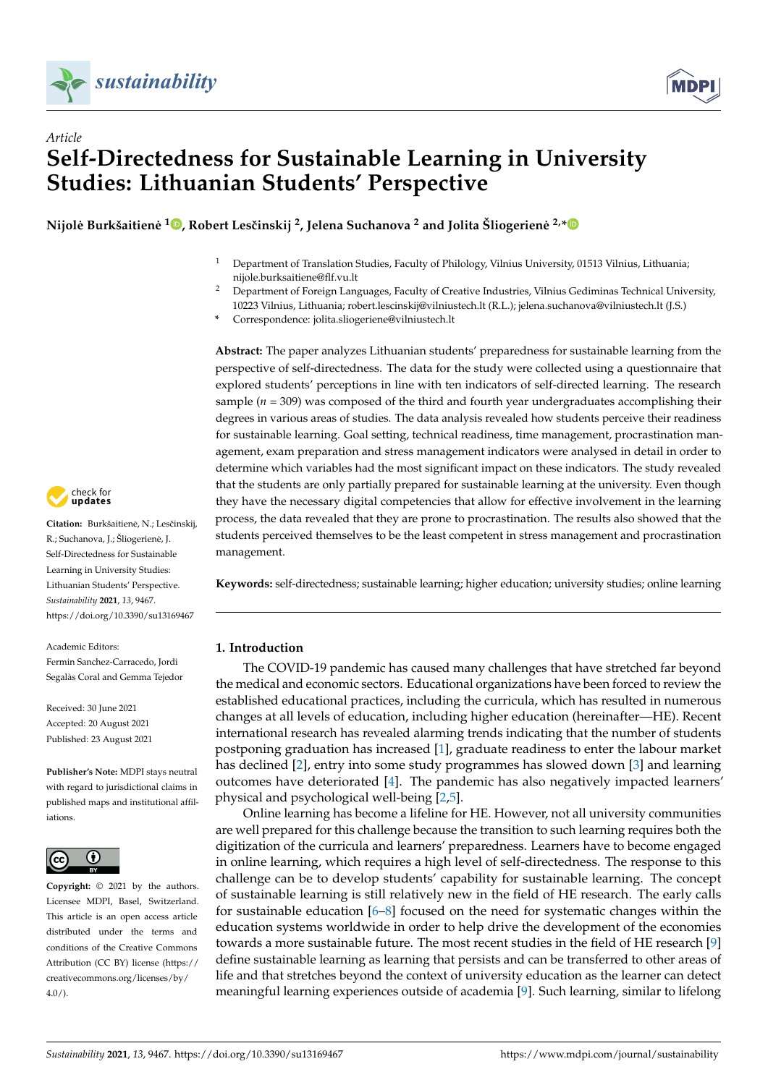

*Article*



# **Self-Directedness for Sustainable Learning in University Studies: Lithuanian Students' Perspective**

 $\bf{N}$ ijolė Burkšaitienė  $^{\bf{10}}$ [,](https://orcid.org/0000-0003-3806-3392) Robert Lesčinskij <sup>2</sup>, Jelena Suchanova <sup>2</sup> and Jolita Šliogerienė <sup>2,</sup>[\\*](https://orcid.org/0000-0003-0062-3200)

- <sup>1</sup> Department of Translation Studies, Faculty of Philology, Vilnius University, 01513 Vilnius, Lithuania; nijole.burksaitiene@flf.vu.lt
- <sup>2</sup> Department of Foreign Languages, Faculty of Creative Industries, Vilnius Gediminas Technical University, 10223 Vilnius, Lithuania; robert.lescinskij@vilniustech.lt (R.L.); jelena.suchanova@vilniustech.lt (J.S.)
- **\*** Correspondence: jolita.sliogeriene@vilniustech.lt

**Abstract:** The paper analyzes Lithuanian students' preparedness for sustainable learning from the perspective of self-directedness. The data for the study were collected using a questionnaire that explored students' perceptions in line with ten indicators of self-directed learning. The research sample (*n* = 309) was composed of the third and fourth year undergraduates accomplishing their degrees in various areas of studies. The data analysis revealed how students perceive their readiness for sustainable learning. Goal setting, technical readiness, time management, procrastination management, exam preparation and stress management indicators were analysed in detail in order to determine which variables had the most significant impact on these indicators. The study revealed that the students are only partially prepared for sustainable learning at the university. Even though they have the necessary digital competencies that allow for effective involvement in the learning process, the data revealed that they are prone to procrastination. The results also showed that the students perceived themselves to be the least competent in stress management and procrastination management.

**Keywords:** self-directedness; sustainable learning; higher education; university studies; online learning

## **1. Introduction**

The COVID-19 pandemic has caused many challenges that have stretched far beyond the medical and economic sectors. Educational organizations have been forced to review the established educational practices, including the curricula, which has resulted in numerous changes at all levels of education, including higher education (hereinafter—HE). Recent international research has revealed alarming trends indicating that the number of students postponing graduation has increased [\[1\]](#page-11-0), graduate readiness to enter the labour market has declined [\[2\]](#page-11-1), entry into some study programmes has slowed down [\[3\]](#page-11-2) and learning outcomes have deteriorated [\[4\]](#page-11-3). The pandemic has also negatively impacted learners' physical and psychological well-being [\[2,](#page-11-1)[5\]](#page-11-4).

Online learning has become a lifeline for HE. However, not all university communities are well prepared for this challenge because the transition to such learning requires both the digitization of the curricula and learners' preparedness. Learners have to become engaged in online learning, which requires a high level of self-directedness. The response to this challenge can be to develop students' capability for sustainable learning. The concept of sustainable learning is still relatively new in the field of HE research. The early calls for sustainable education [\[6–](#page-11-5)[8\]](#page-12-0) focused on the need for systematic changes within the education systems worldwide in order to help drive the development of the economies towards a more sustainable future. The most recent studies in the field of HE research [\[9\]](#page-12-1) define sustainable learning as learning that persists and can be transferred to other areas of life and that stretches beyond the context of university education as the learner can detect meaningful learning experiences outside of academia [\[9\]](#page-12-1). Such learning, similar to lifelong



Citation: Burkšaitienė, N.; Lesčinskij, R.; Suchanova, J.; Šliogeriene, J. ˙ Self-Directedness for Sustainable Learning in University Studies: Lithuanian Students' Perspective. *Sustainability* **2021**, *13*, 9467. <https://doi.org/10.3390/su13169467>

Academic Editors: Fermin Sanchez-Carracedo, Jordi Segalàs Coral and Gemma Tejedor

Received: 30 June 2021 Accepted: 20 August 2021 Published: 23 August 2021

**Publisher's Note:** MDPI stays neutral with regard to jurisdictional claims in published maps and institutional affiliations.



**Copyright:** © 2021 by the authors. Licensee MDPI, Basel, Switzerland. This article is an open access article distributed under the terms and conditions of the Creative Commons Attribution (CC BY) license (https:/[/](https://creativecommons.org/licenses/by/4.0/) [creativecommons.org/licenses/by/](https://creativecommons.org/licenses/by/4.0/) 4.0/).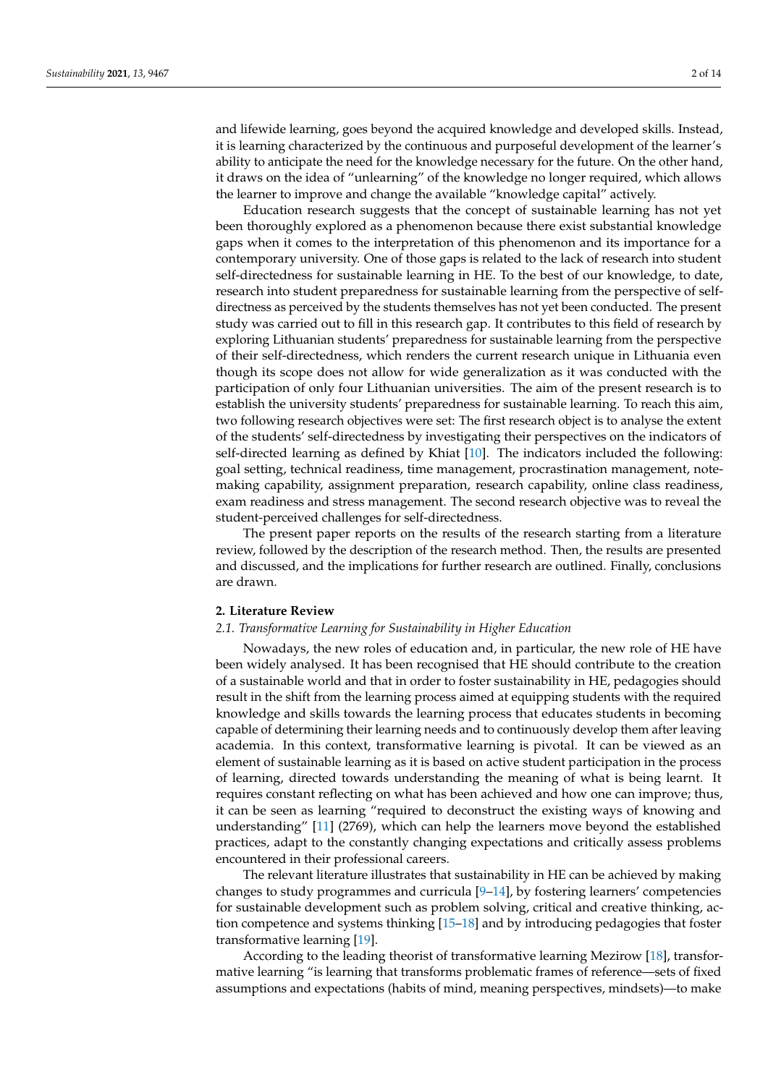and lifewide learning, goes beyond the acquired knowledge and developed skills. Instead, it is learning characterized by the continuous and purposeful development of the learner's ability to anticipate the need for the knowledge necessary for the future. On the other hand, it draws on the idea of "unlearning" of the knowledge no longer required, which allows the learner to improve and change the available "knowledge capital" actively.

Education research suggests that the concept of sustainable learning has not yet been thoroughly explored as a phenomenon because there exist substantial knowledge gaps when it comes to the interpretation of this phenomenon and its importance for a contemporary university. One of those gaps is related to the lack of research into student self-directedness for sustainable learning in HE. To the best of our knowledge, to date, research into student preparedness for sustainable learning from the perspective of selfdirectness as perceived by the students themselves has not yet been conducted. The present study was carried out to fill in this research gap. It contributes to this field of research by exploring Lithuanian students' preparedness for sustainable learning from the perspective of their self-directedness, which renders the current research unique in Lithuania even though its scope does not allow for wide generalization as it was conducted with the participation of only four Lithuanian universities. The aim of the present research is to establish the university students' preparedness for sustainable learning. To reach this aim, two following research objectives were set: The first research object is to analyse the extent of the students' self-directedness by investigating their perspectives on the indicators of self-directed learning as defined by Khiat [\[10\]](#page-12-2). The indicators included the following: goal setting, technical readiness, time management, procrastination management, notemaking capability, assignment preparation, research capability, online class readiness, exam readiness and stress management. The second research objective was to reveal the student-perceived challenges for self-directedness.

The present paper reports on the results of the research starting from a literature review, followed by the description of the research method. Then, the results are presented and discussed, and the implications for further research are outlined. Finally, conclusions are drawn.

## **2. Literature Review**

## *2.1. Transformative Learning for Sustainability in Higher Education*

Nowadays, the new roles of education and, in particular, the new role of HE have been widely analysed. It has been recognised that HE should contribute to the creation of a sustainable world and that in order to foster sustainability in HE, pedagogies should result in the shift from the learning process aimed at equipping students with the required knowledge and skills towards the learning process that educates students in becoming capable of determining their learning needs and to continuously develop them after leaving academia. In this context, transformative learning is pivotal. It can be viewed as an element of sustainable learning as it is based on active student participation in the process of learning, directed towards understanding the meaning of what is being learnt. It requires constant reflecting on what has been achieved and how one can improve; thus, it can be seen as learning "required to deconstruct the existing ways of knowing and understanding" [\[11\]](#page-12-3) (2769), which can help the learners move beyond the established practices, adapt to the constantly changing expectations and critically assess problems encountered in their professional careers.

The relevant literature illustrates that sustainability in HE can be achieved by making changes to study programmes and curricula [\[9–](#page-12-1)[14\]](#page-12-4), by fostering learners' competencies for sustainable development such as problem solving, critical and creative thinking, action competence and systems thinking [\[15](#page-12-5)[–18\]](#page-12-6) and by introducing pedagogies that foster transformative learning [\[19\]](#page-12-7).

According to the leading theorist of transformative learning Mezirow [\[18\]](#page-12-6), transformative learning "is learning that transforms problematic frames of reference—sets of fixed assumptions and expectations (habits of mind, meaning perspectives, mindsets)—to make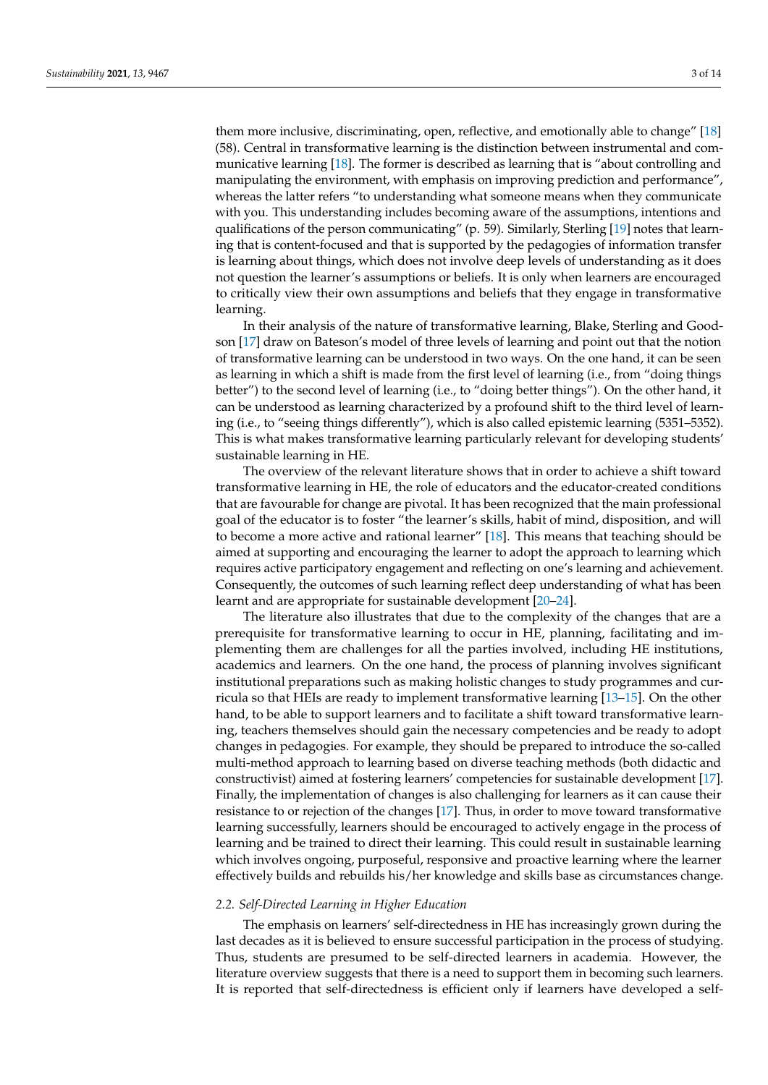them more inclusive, discriminating, open, reflective, and emotionally able to change" [\[18\]](#page-12-6) (58). Central in transformative learning is the distinction between instrumental and communicative learning [\[18\]](#page-12-6). The former is described as learning that is "about controlling and manipulating the environment, with emphasis on improving prediction and performance", whereas the latter refers "to understanding what someone means when they communicate with you. This understanding includes becoming aware of the assumptions, intentions and qualifications of the person communicating" (p. 59). Similarly, Sterling [\[19\]](#page-12-7) notes that learning that is content-focused and that is supported by the pedagogies of information transfer is learning about things, which does not involve deep levels of understanding as it does not question the learner's assumptions or beliefs. It is only when learners are encouraged to critically view their own assumptions and beliefs that they engage in transformative learning.

In their analysis of the nature of transformative learning, Blake, Sterling and Goodson [\[17\]](#page-12-8) draw on Bateson's model of three levels of learning and point out that the notion of transformative learning can be understood in two ways. On the one hand, it can be seen as learning in which a shift is made from the first level of learning (i.e., from "doing things better") to the second level of learning (i.e., to "doing better things"). On the other hand, it can be understood as learning characterized by a profound shift to the third level of learning (i.e., to "seeing things differently"), which is also called epistemic learning (5351–5352). This is what makes transformative learning particularly relevant for developing students' sustainable learning in HE.

The overview of the relevant literature shows that in order to achieve a shift toward transformative learning in HE, the role of educators and the educator-created conditions that are favourable for change are pivotal. It has been recognized that the main professional goal of the educator is to foster "the learner's skills, habit of mind, disposition, and will to become a more active and rational learner" [\[18\]](#page-12-6). This means that teaching should be aimed at supporting and encouraging the learner to adopt the approach to learning which requires active participatory engagement and reflecting on one's learning and achievement. Consequently, the outcomes of such learning reflect deep understanding of what has been learnt and are appropriate for sustainable development [\[20](#page-12-9)[–24\]](#page-12-10).

The literature also illustrates that due to the complexity of the changes that are a prerequisite for transformative learning to occur in HE, planning, facilitating and implementing them are challenges for all the parties involved, including HE institutions, academics and learners. On the one hand, the process of planning involves significant institutional preparations such as making holistic changes to study programmes and curricula so that HEIs are ready to implement transformative learning [\[13](#page-12-11)[–15\]](#page-12-5). On the other hand, to be able to support learners and to facilitate a shift toward transformative learning, teachers themselves should gain the necessary competencies and be ready to adopt changes in pedagogies. For example, they should be prepared to introduce the so-called multi-method approach to learning based on diverse teaching methods (both didactic and constructivist) aimed at fostering learners' competencies for sustainable development [\[17\]](#page-12-8). Finally, the implementation of changes is also challenging for learners as it can cause their resistance to or rejection of the changes [\[17\]](#page-12-8). Thus, in order to move toward transformative learning successfully, learners should be encouraged to actively engage in the process of learning and be trained to direct their learning. This could result in sustainable learning which involves ongoing, purposeful, responsive and proactive learning where the learner effectively builds and rebuilds his/her knowledge and skills base as circumstances change.

## *2.2. Self-Directed Learning in Higher Education*

The emphasis on learners' self-directedness in HE has increasingly grown during the last decades as it is believed to ensure successful participation in the process of studying. Thus, students are presumed to be self-directed learners in academia. However, the literature overview suggests that there is a need to support them in becoming such learners. It is reported that self-directedness is efficient only if learners have developed a self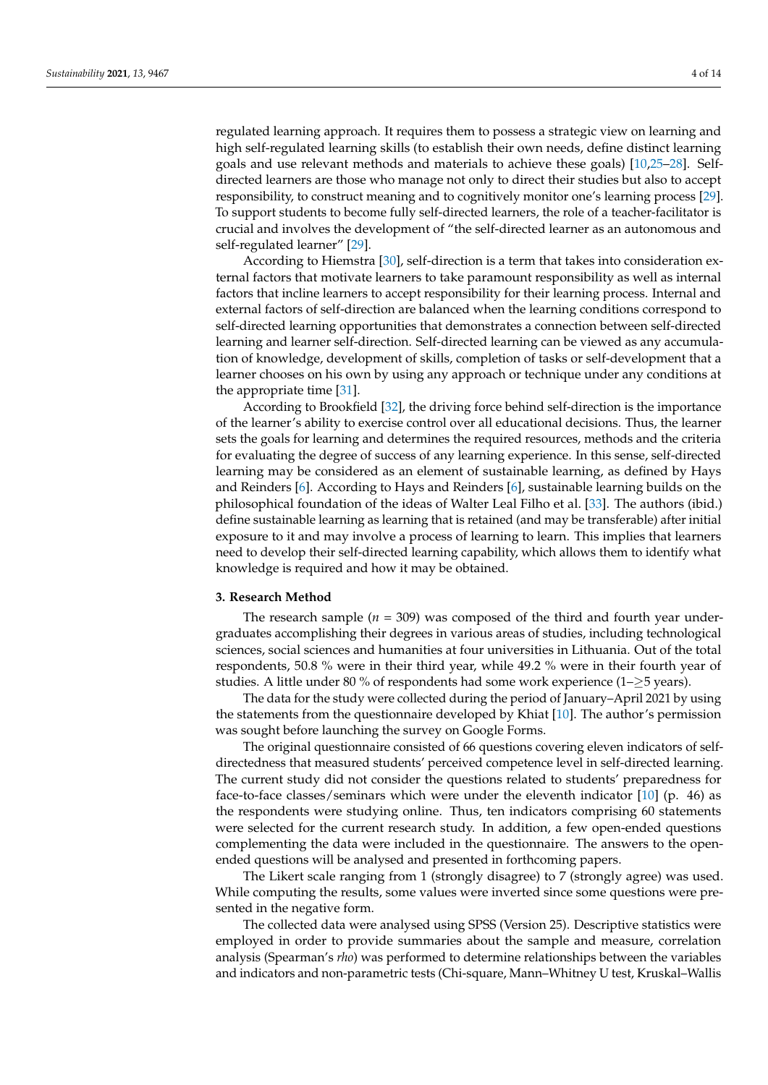regulated learning approach. It requires them to possess a strategic view on learning and high self-regulated learning skills (to establish their own needs, define distinct learning goals and use relevant methods and materials to achieve these goals) [\[10,](#page-12-2)[25](#page-12-12)[–28\]](#page-12-13). Selfdirected learners are those who manage not only to direct their studies but also to accept responsibility, to construct meaning and to cognitively monitor one's learning process [\[29\]](#page-12-14). To support students to become fully self-directed learners, the role of a teacher-facilitator is crucial and involves the development of "the self-directed learner as an autonomous and self-regulated learner" [\[29\]](#page-12-14).

According to Hiemstra [\[30\]](#page-12-15), self-direction is a term that takes into consideration external factors that motivate learners to take paramount responsibility as well as internal factors that incline learners to accept responsibility for their learning process. Internal and external factors of self-direction are balanced when the learning conditions correspond to self-directed learning opportunities that demonstrates a connection between self-directed learning and learner self-direction. Self-directed learning can be viewed as any accumulation of knowledge, development of skills, completion of tasks or self-development that a learner chooses on his own by using any approach or technique under any conditions at the appropriate time [\[31\]](#page-12-16).

According to Brookfield [\[32\]](#page-12-17), the driving force behind self-direction is the importance of the learner's ability to exercise control over all educational decisions. Thus, the learner sets the goals for learning and determines the required resources, methods and the criteria for evaluating the degree of success of any learning experience. In this sense, self-directed learning may be considered as an element of sustainable learning, as defined by Hays and Reinders [\[6\]](#page-11-5). According to Hays and Reinders [\[6\]](#page-11-5), sustainable learning builds on the philosophical foundation of the ideas of Walter Leal Filho et al. [\[33\]](#page-12-18). The authors (ibid.) define sustainable learning as learning that is retained (and may be transferable) after initial exposure to it and may involve a process of learning to learn. This implies that learners need to develop their self-directed learning capability, which allows them to identify what knowledge is required and how it may be obtained.

### **3. Research Method**

The research sample  $(n = 309)$  was composed of the third and fourth year undergraduates accomplishing their degrees in various areas of studies, including technological sciences, social sciences and humanities at four universities in Lithuania. Out of the total respondents, 50.8 % were in their third year, while 49.2 % were in their fourth year of studies. A little under 80 % of respondents had some work experience (1–≥5 years).

The data for the study were collected during the period of January–April 2021 by using the statements from the questionnaire developed by Khiat [\[10\]](#page-12-2). The author's permission was sought before launching the survey on Google Forms.

The original questionnaire consisted of 66 questions covering eleven indicators of selfdirectedness that measured students' perceived competence level in self-directed learning. The current study did not consider the questions related to students' preparedness for face-to-face classes/seminars which were under the eleventh indicator [\[10\]](#page-12-2) (p. 46) as the respondents were studying online. Thus, ten indicators comprising 60 statements were selected for the current research study. In addition, a few open-ended questions complementing the data were included in the questionnaire. The answers to the openended questions will be analysed and presented in forthcoming papers.

The Likert scale ranging from 1 (strongly disagree) to 7 (strongly agree) was used. While computing the results, some values were inverted since some questions were presented in the negative form.

The collected data were analysed using SPSS (Version 25). Descriptive statistics were employed in order to provide summaries about the sample and measure, correlation analysis (Spearman's *rho*) was performed to determine relationships between the variables and indicators and non-parametric tests (Chi-square, Mann–Whitney U test, Kruskal–Wallis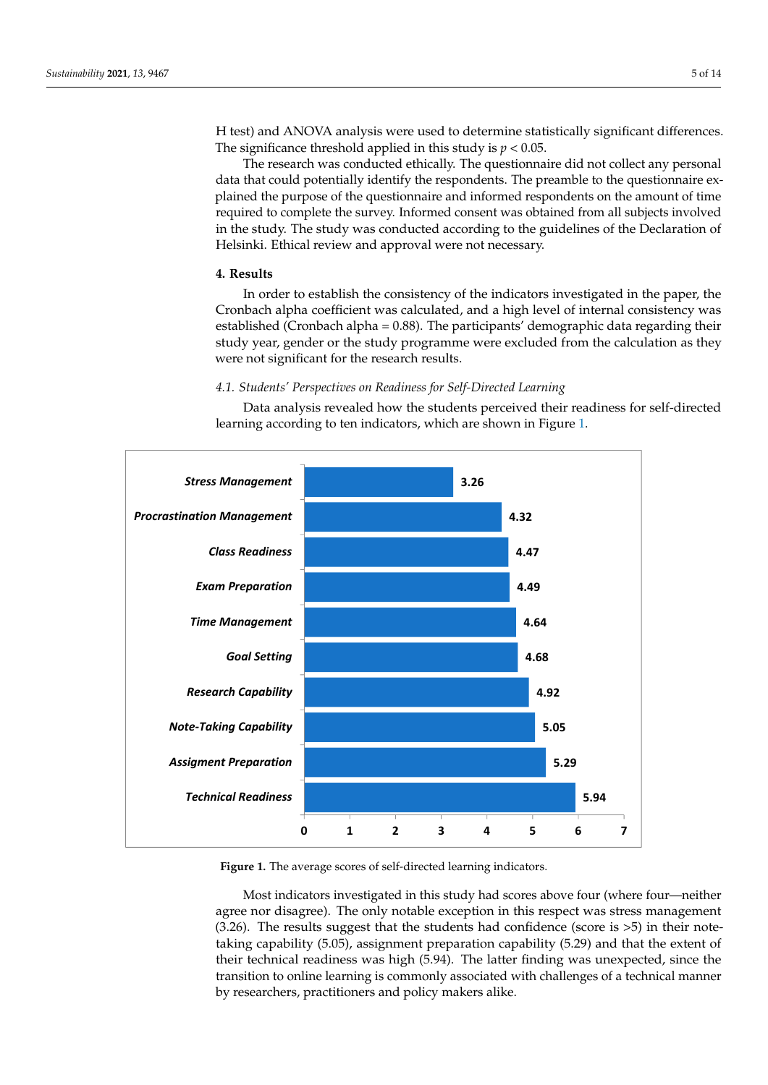H test) and ANOVA analysis were used to determine statistically significant differences. The significance threshold applied in this study is  $p < 0.05$ .

analysis (Spearman's *rho)* was performed to determine relationships between the varia-

The research was conducted ethically. The questionnaire did not collect any personal The research was conducted ethically. The questionnaire did not collect any perdata that could potentially identify the respondents. The preamble to the questionnaire explained the purpose of the questionnaire and informed respondents on the amount of time required to complete the survey. Informed consent was obtained from all subjects involved in the study. The study was conducted according to the guidelines of the Declaration of Helsinki. Ethical review and approval were not necessary.

# **4. Results 4. Results**

In order to establish the consistency of the indicators investigated in the paper, the In order to establish the consistency of the indicators investigated in the paper, the Cronbach alpha coefficient was calculated, and a high level of internal consistency was Cronbach alpha coefficient was calculated, and a high level of internal consistency was established (Cronbach alpha = 0.88). The participants' demographic data regarding their established (Cronbach alpha = 0.88). The participants' demographic data regarding their study year, gender or the study programme were excluded from the calculation as they study year, gender or the study programme were excluded from the calculation as they were not significant for the research results. were not significant for the research results.

# *4.1. Students' Perspectives on Readiness for Self-Directed Learning 4.1. Students' Perspectives on Readiness for Self-Directed Learning*

Data analysis revealed how the students perceived their readiness for self-directed Data analysis revealed how the students perceived their readiness for self-directed learning according to ten indicators, which are shown in Figure [1.](#page-4-0) learning according to ten indicators, which are shown in Figure 1.

<span id="page-4-0"></span>

**Figure 1.** The average scores of self-directed learning indicators. **Figure 1.** The average scores of self-directed learning indicators.

Most indicators investigated in this study had scores above four (where four—neither agree nor disagree). The only notable exception in this respect was stress management  $(3.26)$ . The results suggest that the students had confidence (score is  $>5$ ) in their notetaking capability (5.05), assignment preparation capability (5.29) and that the extent of their technical readiness was high (5.94). The latter finding was unexpected, since the transition to online learning is commonly associated with challenges of a technical manner by researchers, practitioners and policy makers alike.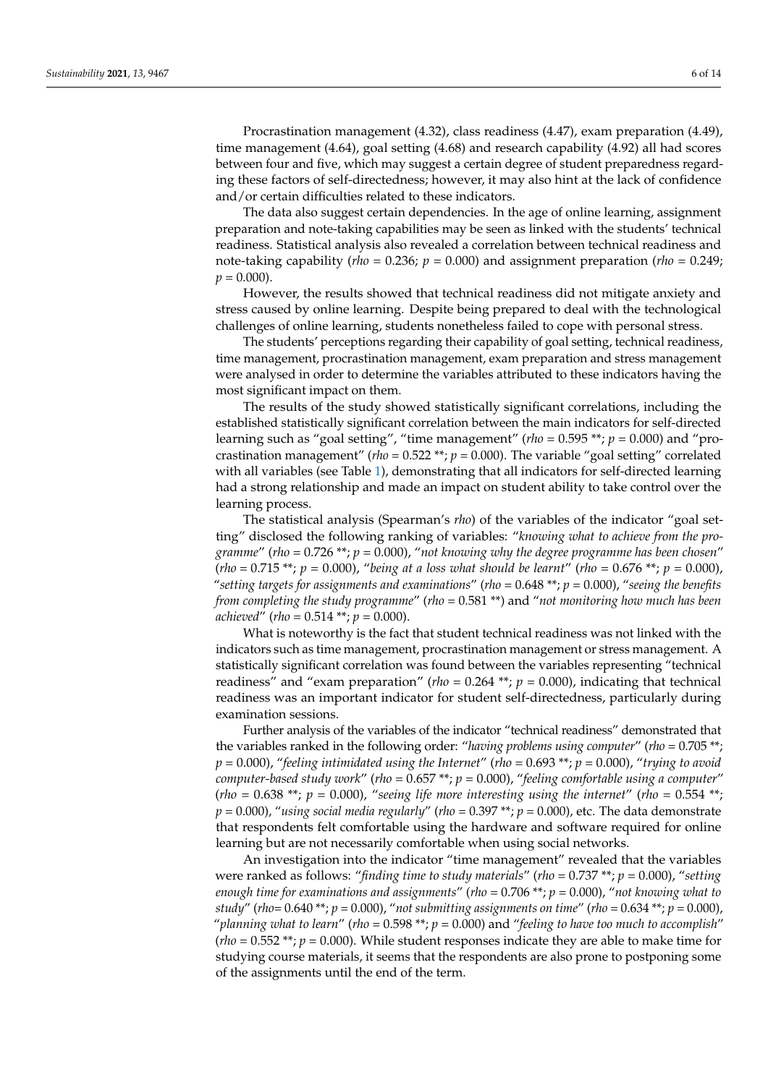Procrastination management (4.32), class readiness (4.47), exam preparation (4.49), time management (4.64), goal setting (4.68) and research capability (4.92) all had scores between four and five, which may suggest a certain degree of student preparedness regarding these factors of self-directedness; however, it may also hint at the lack of confidence and/or certain difficulties related to these indicators.

The data also suggest certain dependencies. In the age of online learning, assignment preparation and note-taking capabilities may be seen as linked with the students' technical readiness. Statistical analysis also revealed a correlation between technical readiness and note-taking capability (*rho* = 0.236; *p* = 0.000) and assignment preparation (*rho* = 0.249;  $p = 0.000$ .

However, the results showed that technical readiness did not mitigate anxiety and stress caused by online learning. Despite being prepared to deal with the technological challenges of online learning, students nonetheless failed to cope with personal stress.

The students' perceptions regarding their capability of goal setting, technical readiness, time management, procrastination management, exam preparation and stress management were analysed in order to determine the variables attributed to these indicators having the most significant impact on them.

The results of the study showed statistically significant correlations, including the established statistically significant correlation between the main indicators for self-directed learning such as "goal setting", "time management" (*rho* = 0.595 \*\*; *p* = 0.000) and "procrastination management" (*rho* = 0.522 \*\*; *p* = 0.000). The variable "goal setting" correlated with all variables (see Table [1\)](#page-6-0), demonstrating that all indicators for self-directed learning had a strong relationship and made an impact on student ability to take control over the learning process.

The statistical analysis (Spearman's *rho*) of the variables of the indicator "goal setting" disclosed the following ranking of variables: "*knowing what to achieve from the programme*" (*rho* = 0.726 \*\*; *p* = 0.000), "*not knowing why the degree programme has been chosen*" (*rho* = 0.715 \*\*; *p* = 0.000), "*being at a loss what should be learnt*" (*rho* = 0.676 \*\*; *p* = 0.000), "*setting targets for assignments and examinations*" (*rho* = 0.648 \*\*; *p* = 0.000), "*seeing the benefits from completing the study programme*" (*rho* = 0.581 \*\*) and "*not monitoring how much has been achieved*" (*rho* = 0.514 \*\*; *p* = 0.000).

What is noteworthy is the fact that student technical readiness was not linked with the indicators such as time management, procrastination management or stress management. A statistically significant correlation was found between the variables representing "technical readiness" and "exam preparation" ( $rho = 0.264$  \*\*;  $p = 0.000$ ), indicating that technical readiness was an important indicator for student self-directedness, particularly during examination sessions.

Further analysis of the variables of the indicator "technical readiness" demonstrated that the variables ranked in the following order: "*having problems using computer*" (*rho* = 0.705 \*\*; *p* = 0.000), "*feeling intimidated using the Internet*" (*rho* = 0.693 \*\*; *p* = 0.000), "*trying to avoid computer-based study work*" (*rho* = 0.657 \*\*; *p* = 0.000), "*feeling comfortable using a computer*" (*rho* = 0.638<sup>\*\*</sup>;  $p = 0.000$ ), "seeing life more interesting using the internet" (*rho* = 0.554<sup>\*\*</sup>;  $p = 0.000$ , "using social media regularly" (rho = 0.397 \*\*;  $p = 0.000$ ), etc. The data demonstrate that respondents felt comfortable using the hardware and software required for online learning but are not necessarily comfortable when using social networks.

An investigation into the indicator "time management" revealed that the variables were ranked as follows: "*finding time to study materials*" (*rho* = 0.737 \*\*; *p* = 0.000), "*setting enough time for examinations and assignments*" (*rho* = 0.706 \*\*; *p* = 0.000), "*not knowing what to study*" (*rho*= 0.640 \*\*; *p* = 0.000), "*not submitting assignments on time*" (*rho* = 0.634 \*\*; *p* = 0.000), "*planning what to learn*" (*rho* = 0.598 \*\*; *p* = 0.000) and "*feeling to have too much to accomplish*"  $(rho = 0.552 \cdot \cdot \cdot; p = 0.000)$ . While student responses indicate they are able to make time for studying course materials, it seems that the respondents are also prone to postponing some of the assignments until the end of the term.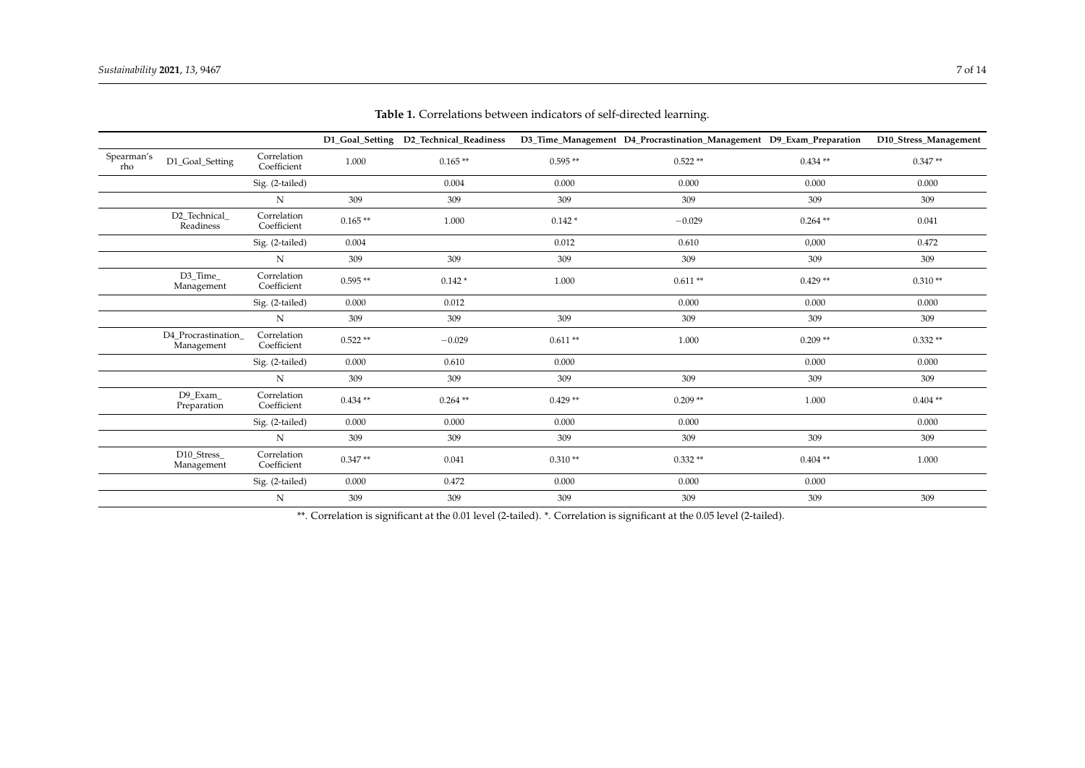|                   |                                  |                            |           | D1_Goal_Setting D2_Technical_Readiness |           | D3_Time_Management D4_Procrastination_Management D9_Exam_Preparation |            | D10_Stress_Management |
|-------------------|----------------------------------|----------------------------|-----------|----------------------------------------|-----------|----------------------------------------------------------------------|------------|-----------------------|
| Spearman's<br>rho | D1_Goal_Setting                  | Correlation<br>Coefficient | 1.000     | $0.165**$                              | $0.595**$ | $0.522**$                                                            | $0.434**$  | $0.347**$             |
|                   |                                  | Sig. (2-tailed)            |           | 0.004                                  | 0.000     | 0.000                                                                | 0.000      | 0.000                 |
|                   |                                  | N                          | 309       | 309                                    | 309       | 309                                                                  | 309        | 309                   |
|                   | D2_Technical_<br>Readiness       | Correlation<br>Coefficient | $0.165**$ | 1.000                                  | $0.142*$  | $-0.029$                                                             | $0.264$ ** | 0.041                 |
|                   |                                  | Sig. (2-tailed)            | 0.004     |                                        | 0.012     | 0.610                                                                | 0,000      | 0.472                 |
|                   |                                  | N                          | 309       | 309                                    | 309       | 309                                                                  | 309        | 309                   |
|                   | D3 Time<br>Management            | Correlation<br>Coefficient | $0.595**$ | $0.142*$                               | 1.000     | $0.611**$                                                            | $0.429**$  | $0.310**$             |
|                   |                                  | Sig. (2-tailed)            | 0.000     | 0.012                                  |           | 0.000                                                                | 0.000      | 0.000                 |
|                   |                                  | N                          | 309       | 309                                    | 309       | 309                                                                  | 309        | 309                   |
|                   | D4 Procrastination<br>Management | Correlation<br>Coefficient | $0.522**$ | $-0.029$                               | $0.611**$ | 1.000                                                                | $0.209**$  | $0.332**$             |
|                   |                                  | Sig. (2-tailed)            | 0.000     | 0.610                                  | 0.000     |                                                                      | 0.000      | 0.000                 |
|                   |                                  | N                          | 309       | 309                                    | 309       | 309                                                                  | 309        | 309                   |
|                   | D9 Exam<br>Preparation           | Correlation<br>Coefficient | $0.434**$ | $0.264$ **                             | $0.429**$ | $0.209**$                                                            | 1.000      | $0.404**$             |
|                   |                                  | Sig. (2-tailed)            | 0.000     | 0.000                                  | 0.000     | 0.000                                                                |            | 0.000                 |
|                   |                                  | ${\bf N}$                  | 309       | 309                                    | 309       | 309                                                                  | 309        | 309                   |
|                   | D10 Stress<br>Management         | Correlation<br>Coefficient | $0.347**$ | 0.041                                  | $0.310**$ | $0.332**$                                                            | $0.404**$  | 1.000                 |
|                   |                                  | Sig. (2-tailed)            | 0.000     | 0.472                                  | 0.000     | 0.000                                                                | 0.000      |                       |
|                   |                                  | $\mathbf N$                | 309       | 309                                    | 309       | 309                                                                  | 309        | 309                   |

**Table 1.** Correlations between indicators of self-directed learning.

<span id="page-6-0"></span>\*\*. Correlation is significant at the 0.01 level (2-tailed). \*. Correlation is significant at the 0.05 level (2-tailed).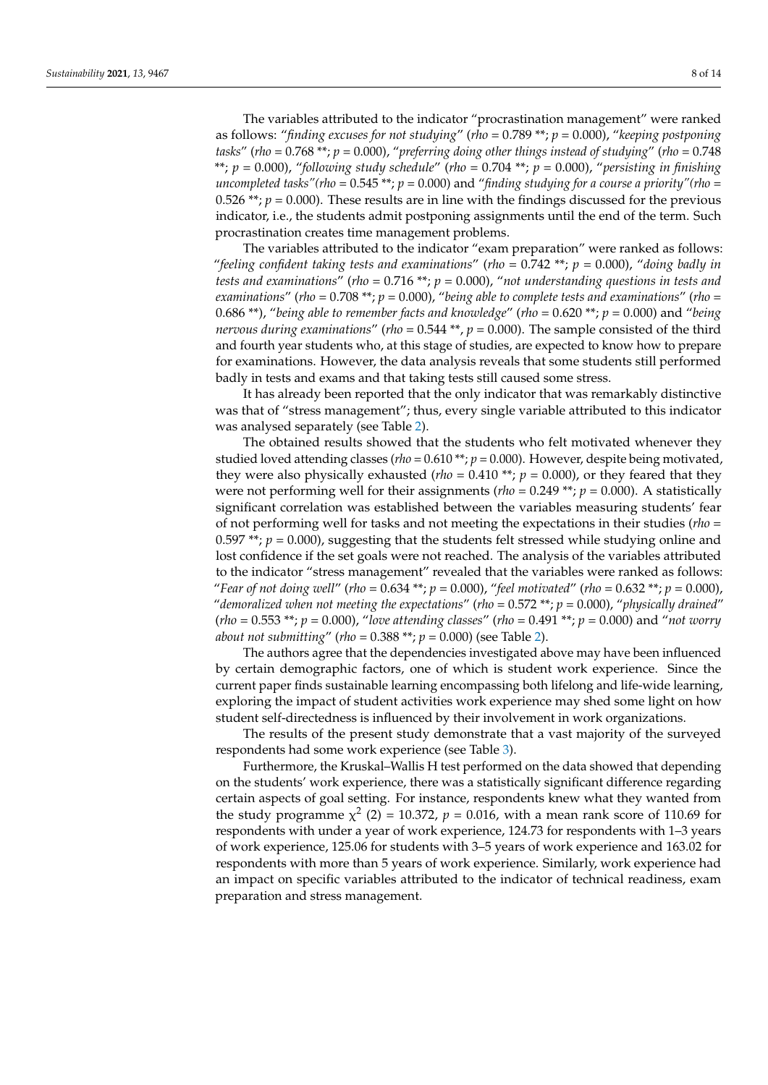The variables attributed to the indicator "procrastination management" were ranked as follows: "*finding excuses for not studying*" (*rho* = 0.789 \*\*; *p* = 0.000), "*keeping postponing tasks*" (*rho* = 0.768 \*\*; *p* = 0.000), "*preferring doing other things instead of studying*" (*rho* = 0.748 \*\*; *p* = 0.000), "*following study schedule*" (*rho* = 0.704 \*\*; *p* = 0.000), "*persisting in finishing uncompleted tasks"(rho* =  $0.545$  \*\*;  $p = 0.000$ ) and "*finding studying for a course a priority"(rho* = 0.526  $**$ ;  $p = 0.000$ ). These results are in line with the findings discussed for the previous indicator, i.e., the students admit postponing assignments until the end of the term. Such procrastination creates time management problems.

The variables attributed to the indicator "exam preparation" were ranked as follows: "*feeling confident taking tests and examinations*" (*rho* = 0.742 \*\*; *p* = 0.000), "*doing badly in tests and examinations*" (*rho* = 0.716 \*\*; *p* = 0.000), "*not understanding questions in tests and examinations*" (*rho* = 0.708 \*\*; *p* = 0.000), "*being able to complete tests and examinations*" (*rho* = 0.686 \*\*), "*being able to remember facts and knowledge*" (*rho* = 0.620 \*\*; *p* = 0.000) and "*being nervous during examinations*" (*rho* = 0.544 \*\*, *p* = 0.000). The sample consisted of the third and fourth year students who, at this stage of studies, are expected to know how to prepare for examinations. However, the data analysis reveals that some students still performed badly in tests and exams and that taking tests still caused some stress.

It has already been reported that the only indicator that was remarkably distinctive was that of "stress management"; thus, every single variable attributed to this indicator was analysed separately (see Table [2\)](#page-8-0).

The obtained results showed that the students who felt motivated whenever they studied loved attending classes (*rho* = 0.610 \*\*; *p* = 0.000). However, despite being motivated, they were also physically exhausted ( $rho = 0.410$  \*\*;  $p = 0.000$ ), or they feared that they were not performing well for their assignments ( $rho = 0.249$ <sup>\*\*</sup>;  $p = 0.000$ ). A statistically significant correlation was established between the variables measuring students' fear of not performing well for tasks and not meeting the expectations in their studies (*rho* = 0.597 \*\*;  $p = 0.000$ ), suggesting that the students felt stressed while studying online and lost confidence if the set goals were not reached. The analysis of the variables attributed to the indicator "stress management" revealed that the variables were ranked as follows: "*Fear of not doing well*" (*rho* = 0.634 \*\*; *p* = 0.000), "*feel motivated*" (*rho* = 0.632 \*\*; *p* = 0.000), "*demoralized when not meeting the expectations*" (*rho* = 0.572 \*\*; *p* = 0.000), "*physically drained*" (*rho* = 0.553 \*\*; *p* = 0.000), "*love attending classes*" (*rho* = 0.491 \*\*; *p* = 0.000) and "*not worry about not submitting*" (*rho* = 0.388 \*\*; *p* = 0.000) (see Table [2\)](#page-8-0).

The authors agree that the dependencies investigated above may have been influenced by certain demographic factors, one of which is student work experience. Since the current paper finds sustainable learning encompassing both lifelong and life-wide learning, exploring the impact of student activities work experience may shed some light on how student self-directedness is influenced by their involvement in work organizations.

The results of the present study demonstrate that a vast majority of the surveyed respondents had some work experience (see Table [3\)](#page-9-0).

Furthermore, the Kruskal–Wallis H test performed on the data showed that depending on the students' work experience, there was a statistically significant difference regarding certain aspects of goal setting. For instance, respondents knew what they wanted from the study programme  $\chi^2$  (2) = 10.372,  $p = 0.016$ , with a mean rank score of 110.69 for respondents with under a year of work experience, 124.73 for respondents with 1–3 years of work experience, 125.06 for students with 3–5 years of work experience and 163.02 for respondents with more than 5 years of work experience. Similarly, work experience had an impact on specific variables attributed to the indicator of technical readiness, exam preparation and stress management.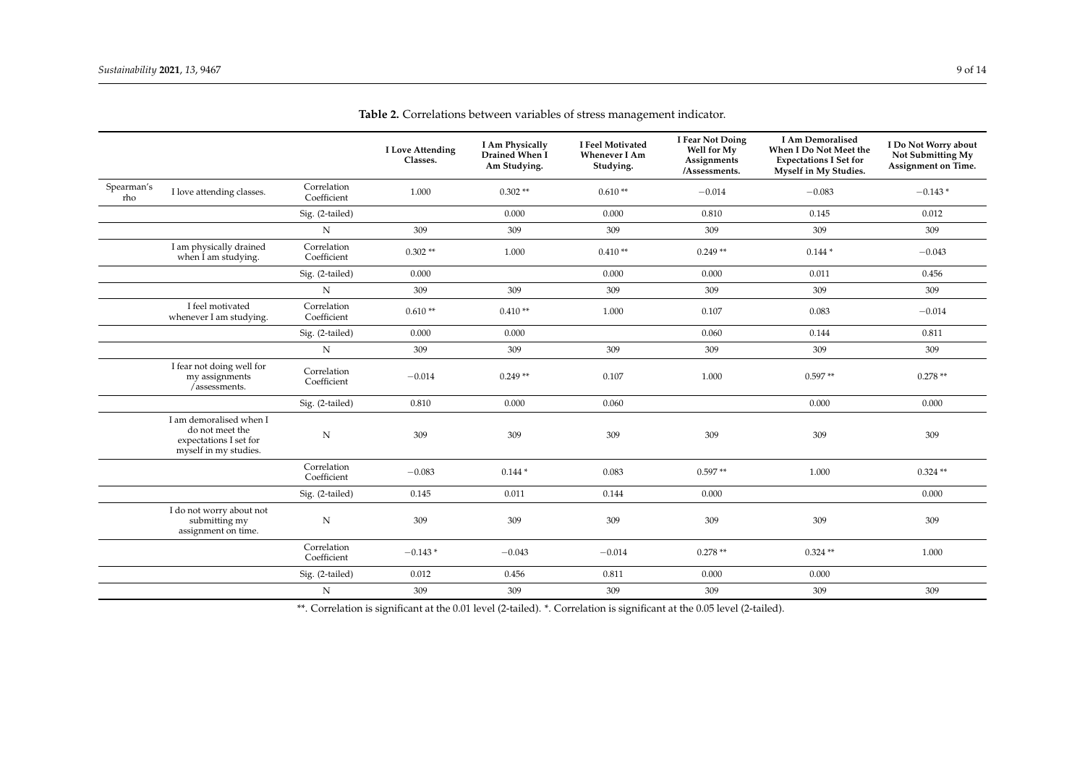|                   |                                                                                               |                            | <b>I</b> Love Attending<br>Classes. | I Am Physically<br>Drained When I<br>Am Studying. | I Feel Motivated<br><b>Whenever I Am</b><br>Studying. | I Fear Not Doing<br>Well for My<br>Assignments<br>/Assessments. | <b>I Am Demoralised</b><br>When I Do Not Meet the<br><b>Expectations I Set for</b><br>Myself in My Studies. | I Do Not Worry about<br>Not Submitting My<br>Assignment on Time. |
|-------------------|-----------------------------------------------------------------------------------------------|----------------------------|-------------------------------------|---------------------------------------------------|-------------------------------------------------------|-----------------------------------------------------------------|-------------------------------------------------------------------------------------------------------------|------------------------------------------------------------------|
| Spearman's<br>rho | I love attending classes.                                                                     | Correlation<br>Coefficient | 1.000                               | $0.302**$                                         | $0.610**$                                             | $-0.014$                                                        | $-0.083$                                                                                                    | $-0.143*$                                                        |
|                   |                                                                                               | Sig. (2-tailed)            |                                     | 0.000                                             | 0.000                                                 | 0.810                                                           | 0.145                                                                                                       | 0.012                                                            |
|                   |                                                                                               | N                          | 309                                 | 309                                               | 309                                                   | 309                                                             | 309                                                                                                         | 309                                                              |
|                   | I am physically drained<br>when I am studying.                                                | Correlation<br>Coefficient | $0.302**$                           | 1.000                                             | $0.410**$                                             | $0.249**$                                                       | $0.144*$                                                                                                    | $-0.043$                                                         |
|                   |                                                                                               | Sig. (2-tailed)            | 0.000                               |                                                   | 0.000                                                 | 0.000                                                           | 0.011                                                                                                       | 0.456                                                            |
|                   |                                                                                               | $\mathbf N$                | 309                                 | 309                                               | 309                                                   | 309                                                             | 309                                                                                                         | 309                                                              |
|                   | I feel motivated<br>whenever I am studying.                                                   | Correlation<br>Coefficient | $0.610**$                           | $0.410**$                                         | 1.000                                                 | 0.107                                                           | 0.083                                                                                                       | $-0.014$                                                         |
|                   |                                                                                               | Sig. (2-tailed)            | 0.000                               | 0.000                                             |                                                       | 0.060                                                           | 0.144                                                                                                       | 0.811                                                            |
|                   |                                                                                               | N                          | 309                                 | 309                                               | 309                                                   | 309                                                             | 309                                                                                                         | 309                                                              |
|                   | I fear not doing well for<br>my assignments<br>/assessments.                                  | Correlation<br>Coefficient | $-0.014$                            | $0.249**$                                         | 0.107                                                 | 1.000                                                           | $0.597**$                                                                                                   | $0.278**$                                                        |
|                   |                                                                                               | Sig. (2-tailed)            | 0.810                               | 0.000                                             | 0.060                                                 |                                                                 | 0.000                                                                                                       | 0.000                                                            |
|                   | I am demoralised when I<br>do not meet the<br>expectations I set for<br>myself in my studies. | ${\rm N}$                  | 309                                 | 309                                               | 309                                                   | 309                                                             | 309                                                                                                         | 309                                                              |
|                   |                                                                                               | Correlation<br>Coefficient | $-0.083$                            | $0.144*$                                          | 0.083                                                 | $0.597**$                                                       | 1.000                                                                                                       | $0.324$ **                                                       |
|                   |                                                                                               | Sig. (2-tailed)            | 0.145                               | 0.011                                             | 0.144                                                 | 0.000                                                           |                                                                                                             | 0.000                                                            |
|                   | I do not worry about not<br>submitting my<br>assignment on time.                              | ${\rm N}$                  | 309                                 | 309                                               | 309                                                   | 309                                                             | 309                                                                                                         | 309                                                              |
|                   |                                                                                               | Correlation<br>Coefficient | $-0.143*$                           | $-0.043$                                          | $-0.014$                                              | $0.278**$                                                       | $0.324**$                                                                                                   | 1.000                                                            |
|                   |                                                                                               | Sig. (2-tailed)            | 0.012                               | 0.456                                             | 0.811                                                 | 0.000                                                           | 0.000                                                                                                       |                                                                  |
|                   |                                                                                               | N                          | 309                                 | 309                                               | 309                                                   | 309                                                             | 309                                                                                                         | 309                                                              |

**Table 2.** Correlations between variables of stress management indicator.

<span id="page-8-0"></span>\*\*. Correlation is significant at the 0.01 level (2-tailed). \*. Correlation is significant at the 0.05 level (2-tailed).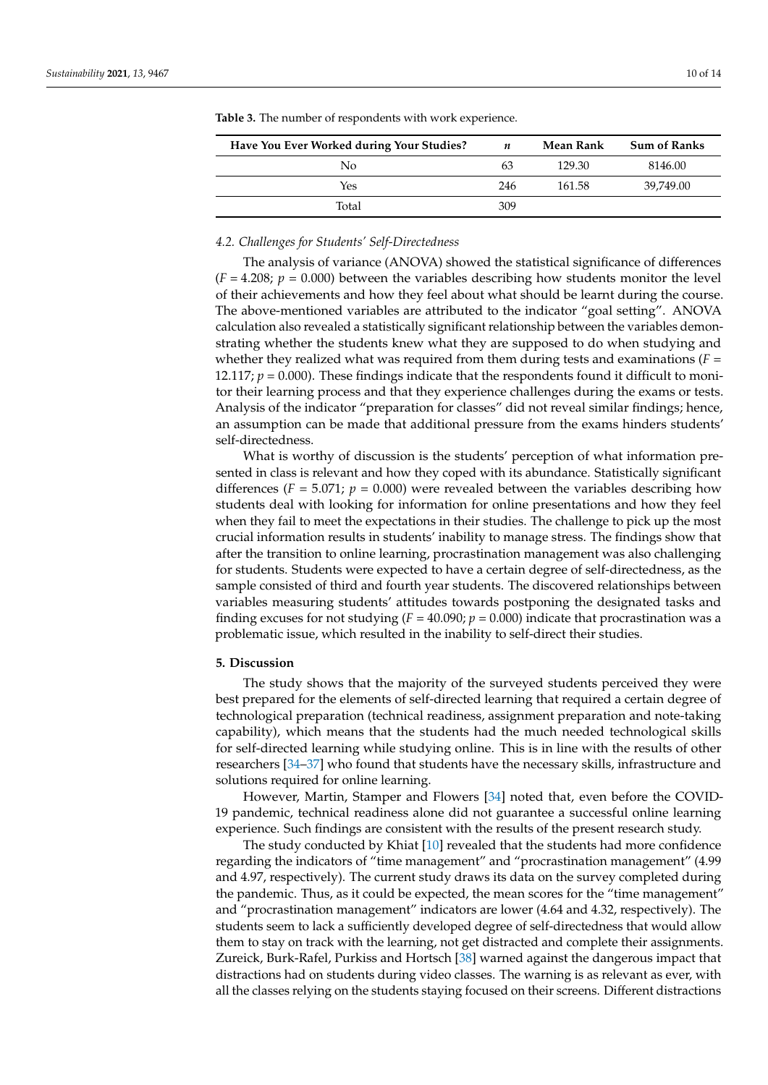| Have You Ever Worked during Your Studies? | n   | Mean Rank | <b>Sum of Ranks</b> |
|-------------------------------------------|-----|-----------|---------------------|
| No                                        | 63  | 129.30    | 8146.00             |
| Yes                                       | 246 | 161.58    | 39.749.00           |
| Total                                     | 309 |           |                     |

<span id="page-9-0"></span>**Table 3.** The number of respondents with work experience.

## *4.2. Challenges for Students' Self-Directedness*

The analysis of variance (ANOVA) showed the statistical significance of differences  $(F = 4.208; p = 0.000)$  between the variables describing how students monitor the level of their achievements and how they feel about what should be learnt during the course. The above-mentioned variables are attributed to the indicator "goal setting". ANOVA calculation also revealed a statistically significant relationship between the variables demonstrating whether the students knew what they are supposed to do when studying and whether they realized what was required from them during tests and examinations  $(F =$ 12.117;  $p = 0.000$ ). These findings indicate that the respondents found it difficult to monitor their learning process and that they experience challenges during the exams or tests. Analysis of the indicator "preparation for classes" did not reveal similar findings; hence, an assumption can be made that additional pressure from the exams hinders students' self-directedness.

What is worthy of discussion is the students' perception of what information presented in class is relevant and how they coped with its abundance. Statistically significant differences  $(F = 5.071; p = 0.000)$  were revealed between the variables describing how students deal with looking for information for online presentations and how they feel when they fail to meet the expectations in their studies. The challenge to pick up the most crucial information results in students' inability to manage stress. The findings show that after the transition to online learning, procrastination management was also challenging for students. Students were expected to have a certain degree of self-directedness, as the sample consisted of third and fourth year students. The discovered relationships between variables measuring students' attitudes towards postponing the designated tasks and finding excuses for not studying  $(F = 40.090; p = 0.000)$  indicate that procrastination was a problematic issue, which resulted in the inability to self-direct their studies.

#### **5. Discussion**

The study shows that the majority of the surveyed students perceived they were best prepared for the elements of self-directed learning that required a certain degree of technological preparation (technical readiness, assignment preparation and note-taking capability), which means that the students had the much needed technological skills for self-directed learning while studying online. This is in line with the results of other researchers [\[34–](#page-12-19)[37\]](#page-12-20) who found that students have the necessary skills, infrastructure and solutions required for online learning.

However, Martin, Stamper and Flowers [\[34\]](#page-12-19) noted that, even before the COVID-19 pandemic, technical readiness alone did not guarantee a successful online learning experience. Such findings are consistent with the results of the present research study.

The study conducted by Khiat [\[10\]](#page-12-2) revealed that the students had more confidence regarding the indicators of "time management" and "procrastination management" (4.99 and 4.97, respectively). The current study draws its data on the survey completed during the pandemic. Thus, as it could be expected, the mean scores for the "time management" and "procrastination management" indicators are lower (4.64 and 4.32, respectively). The students seem to lack a sufficiently developed degree of self-directedness that would allow them to stay on track with the learning, not get distracted and complete their assignments. Zureick, Burk-Rafel, Purkiss and Hortsch [\[38\]](#page-12-21) warned against the dangerous impact that distractions had on students during video classes. The warning is as relevant as ever, with all the classes relying on the students staying focused on their screens. Different distractions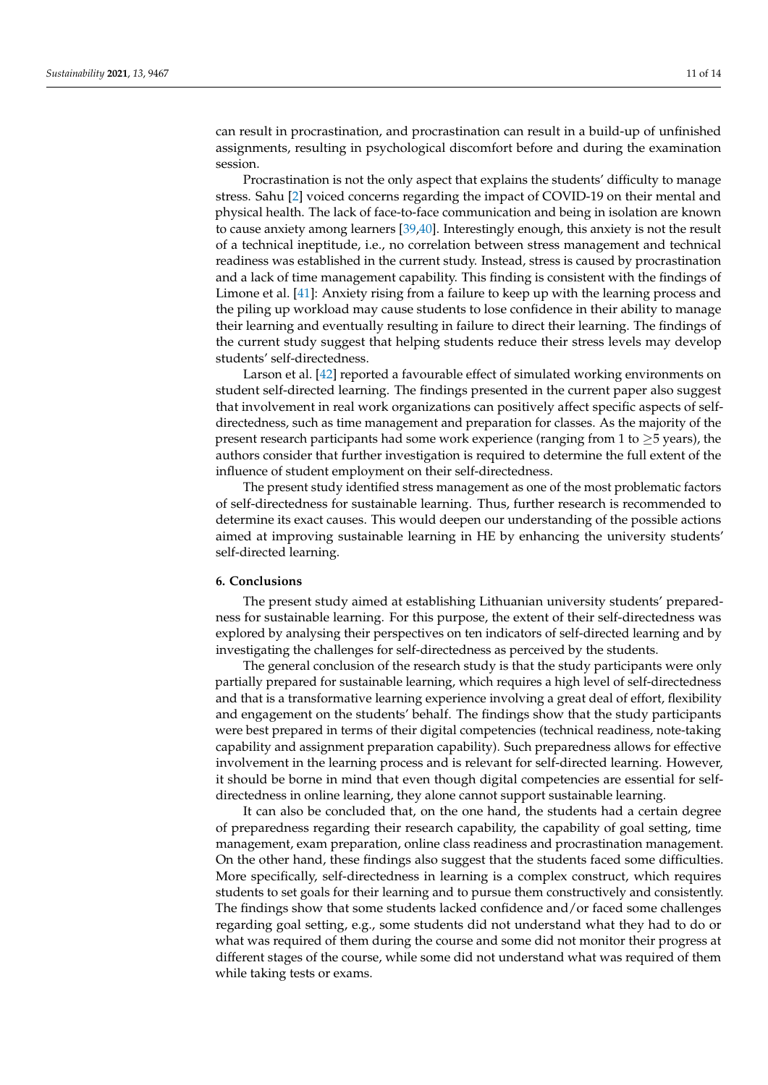can result in procrastination, and procrastination can result in a build-up of unfinished assignments, resulting in psychological discomfort before and during the examination session.

Procrastination is not the only aspect that explains the students' difficulty to manage stress. Sahu [\[2\]](#page-11-1) voiced concerns regarding the impact of COVID-19 on their mental and physical health. The lack of face-to-face communication and being in isolation are known to cause anxiety among learners [\[39,](#page-13-0)[40\]](#page-13-1). Interestingly enough, this anxiety is not the result of a technical ineptitude, i.e., no correlation between stress management and technical readiness was established in the current study. Instead, stress is caused by procrastination and a lack of time management capability. This finding is consistent with the findings of Limone et al. [\[41\]](#page-13-2): Anxiety rising from a failure to keep up with the learning process and the piling up workload may cause students to lose confidence in their ability to manage their learning and eventually resulting in failure to direct their learning. The findings of the current study suggest that helping students reduce their stress levels may develop students' self-directedness.

Larson et al. [\[42\]](#page-13-3) reported a favourable effect of simulated working environments on student self-directed learning. The findings presented in the current paper also suggest that involvement in real work organizations can positively affect specific aspects of selfdirectedness, such as time management and preparation for classes. As the majority of the present research participants had some work experience (ranging from 1 to  $\geq$  5 years), the authors consider that further investigation is required to determine the full extent of the influence of student employment on their self-directedness.

The present study identified stress management as one of the most problematic factors of self-directedness for sustainable learning. Thus, further research is recommended to determine its exact causes. This would deepen our understanding of the possible actions aimed at improving sustainable learning in HE by enhancing the university students' self-directed learning.

#### **6. Conclusions**

The present study aimed at establishing Lithuanian university students' preparedness for sustainable learning. For this purpose, the extent of their self-directedness was explored by analysing their perspectives on ten indicators of self-directed learning and by investigating the challenges for self-directedness as perceived by the students.

The general conclusion of the research study is that the study participants were only partially prepared for sustainable learning, which requires a high level of self-directedness and that is a transformative learning experience involving a great deal of effort, flexibility and engagement on the students' behalf. The findings show that the study participants were best prepared in terms of their digital competencies (technical readiness, note-taking capability and assignment preparation capability). Such preparedness allows for effective involvement in the learning process and is relevant for self-directed learning. However, it should be borne in mind that even though digital competencies are essential for selfdirectedness in online learning, they alone cannot support sustainable learning.

It can also be concluded that, on the one hand, the students had a certain degree of preparedness regarding their research capability, the capability of goal setting, time management, exam preparation, online class readiness and procrastination management. On the other hand, these findings also suggest that the students faced some difficulties. More specifically, self-directedness in learning is a complex construct, which requires students to set goals for their learning and to pursue them constructively and consistently. The findings show that some students lacked confidence and/or faced some challenges regarding goal setting, e.g., some students did not understand what they had to do or what was required of them during the course and some did not monitor their progress at different stages of the course, while some did not understand what was required of them while taking tests or exams.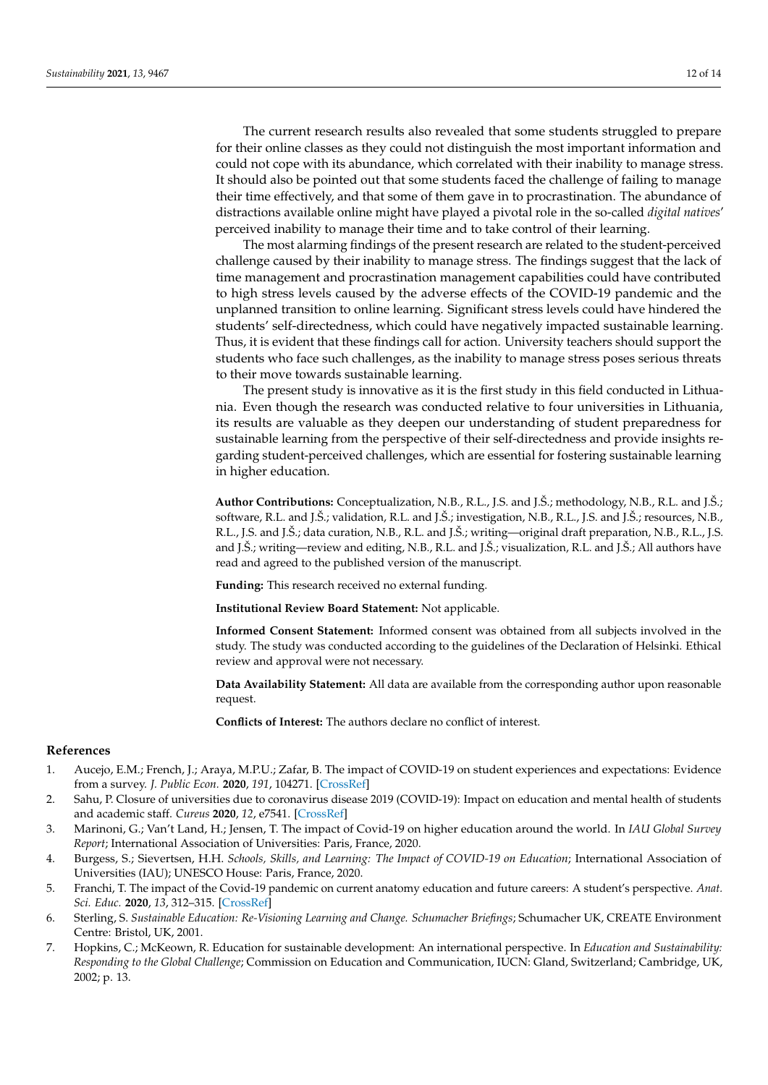The current research results also revealed that some students struggled to prepare for their online classes as they could not distinguish the most important information and could not cope with its abundance, which correlated with their inability to manage stress. It should also be pointed out that some students faced the challenge of failing to manage their time effectively, and that some of them gave in to procrastination. The abundance of distractions available online might have played a pivotal role in the so-called *digital natives*' perceived inability to manage their time and to take control of their learning.

The most alarming findings of the present research are related to the student-perceived challenge caused by their inability to manage stress. The findings suggest that the lack of time management and procrastination management capabilities could have contributed to high stress levels caused by the adverse effects of the COVID-19 pandemic and the unplanned transition to online learning. Significant stress levels could have hindered the students' self-directedness, which could have negatively impacted sustainable learning. Thus, it is evident that these findings call for action. University teachers should support the students who face such challenges, as the inability to manage stress poses serious threats to their move towards sustainable learning.

The present study is innovative as it is the first study in this field conducted in Lithuania. Even though the research was conducted relative to four universities in Lithuania, its results are valuable as they deepen our understanding of student preparedness for sustainable learning from the perspective of their self-directedness and provide insights regarding student-perceived challenges, which are essential for fostering sustainable learning in higher education.

**Author Contributions:** Conceptualization, N.B., R.L., J.S. and J.Š.; methodology, N.B., R.L. and J.Š.; software, R.L. and J.Š.; validation, R.L. and J.Š.; investigation, N.B., R.L., J.S. and J.Š.; resources, N.B., R.L., J.S. and J.Š.; data curation, N.B., R.L. and J.Š.; writing—original draft preparation, N.B., R.L., J.S. and J.Š.; writing—review and editing, N.B., R.L. and J.Š.; visualization, R.L. and J.Š.; All authors have read and agreed to the published version of the manuscript.

**Funding:** This research received no external funding.

**Institutional Review Board Statement:** Not applicable.

**Informed Consent Statement:** Informed consent was obtained from all subjects involved in the study. The study was conducted according to the guidelines of the Declaration of Helsinki. Ethical review and approval were not necessary.

**Data Availability Statement:** All data are available from the corresponding author upon reasonable request.

**Conflicts of Interest:** The authors declare no conflict of interest.

#### **References**

- <span id="page-11-0"></span>1. Aucejo, E.M.; French, J.; Araya, M.P.U.; Zafar, B. The impact of COVID-19 on student experiences and expectations: Evidence from a survey. *J. Public Econ.* **2020**, *191*, 104271. [\[CrossRef\]](http://doi.org/10.1016/j.jpubeco.2020.104271)
- <span id="page-11-1"></span>2. Sahu, P. Closure of universities due to coronavirus disease 2019 (COVID-19): Impact on education and mental health of students and academic staff. *Cureus* **2020**, *12*, e7541. [\[CrossRef\]](http://doi.org/10.7759/cureus.7541)
- <span id="page-11-2"></span>3. Marinoni, G.; Van't Land, H.; Jensen, T. The impact of Covid-19 on higher education around the world. In *IAU Global Survey Report*; International Association of Universities: Paris, France, 2020.
- <span id="page-11-3"></span>4. Burgess, S.; Sievertsen, H.H. *Schools, Skills, and Learning: The Impact of COVID-19 on Education*; International Association of Universities (IAU); UNESCO House: Paris, France, 2020.
- <span id="page-11-4"></span>5. Franchi, T. The impact of the Covid-19 pandemic on current anatomy education and future careers: A student's perspective. *Anat. Sci. Educ.* **2020**, *13*, 312–315. [\[CrossRef\]](http://doi.org/10.1002/ase.1966)
- <span id="page-11-5"></span>6. Sterling, S. *Sustainable Education: Re-Visioning Learning and Change. Schumacher Briefings*; Schumacher UK, CREATE Environment Centre: Bristol, UK, 2001.
- 7. Hopkins, C.; McKeown, R. Education for sustainable development: An international perspective. In *Education and Sustainability: Responding to the Global Challenge*; Commission on Education and Communication, IUCN: Gland, Switzerland; Cambridge, UK, 2002; p. 13.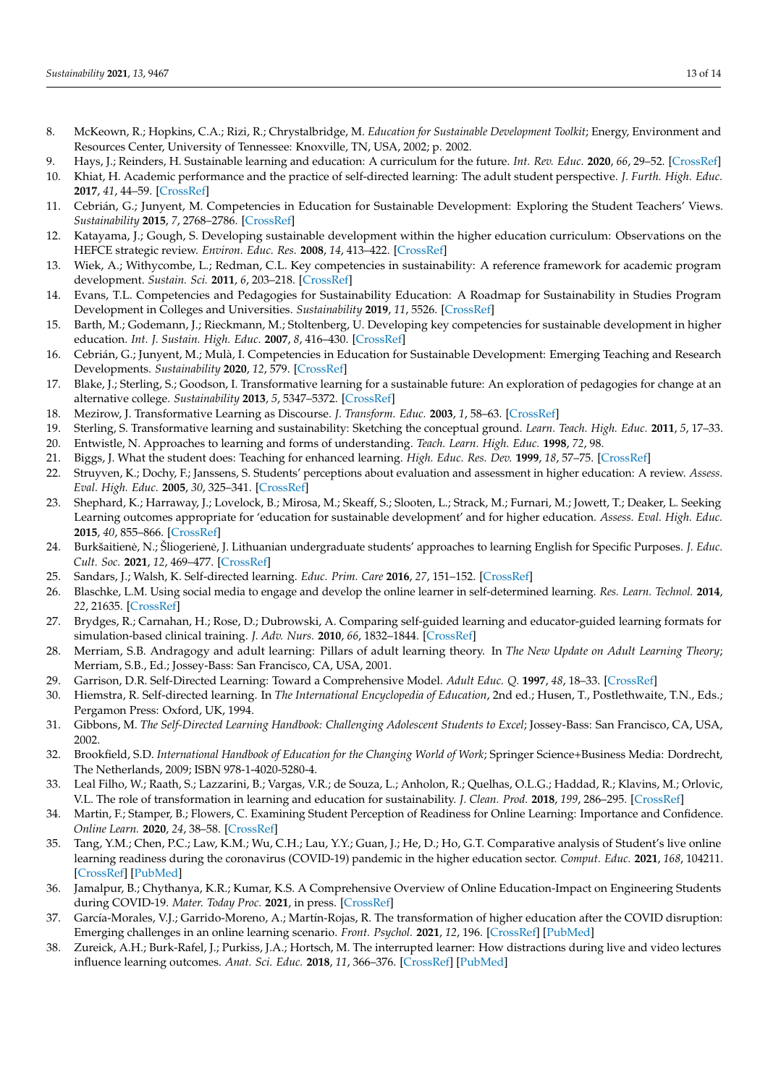- <span id="page-12-0"></span>8. McKeown, R.; Hopkins, C.A.; Rizi, R.; Chrystalbridge, M. *Education for Sustainable Development Toolkit*; Energy, Environment and Resources Center, University of Tennessee: Knoxville, TN, USA, 2002; p. 2002.
- <span id="page-12-1"></span>9. Hays, J.; Reinders, H. Sustainable learning and education: A curriculum for the future. *Int. Rev. Educ.* **2020**, *66*, 29–52. [\[CrossRef\]](http://doi.org/10.1007/s11159-020-09820-7)
- <span id="page-12-2"></span>10. Khiat, H. Academic performance and the practice of self-directed learning: The adult student perspective. *J. Furth. High. Educ.* **2017**, *41*, 44–59. [\[CrossRef\]](http://doi.org/10.1080/0309877X.2015.1062849)
- <span id="page-12-3"></span>11. Cebrián, G.; Junyent, M. Competencies in Education for Sustainable Development: Exploring the Student Teachers' Views. *Sustainability* **2015**, *7*, 2768–2786. [\[CrossRef\]](http://doi.org/10.3390/su7032768)
- 12. Katayama, J.; Gough, S. Developing sustainable development within the higher education curriculum: Observations on the HEFCE strategic review. *Environ. Educ. Res.* **2008**, *14*, 413–422. [\[CrossRef\]](http://doi.org/10.1080/13504620802278837)
- <span id="page-12-11"></span>13. Wiek, A.; Withycombe, L.; Redman, C.L. Key competencies in sustainability: A reference framework for academic program development. *Sustain. Sci.* **2011**, *6*, 203–218. [\[CrossRef\]](http://doi.org/10.1007/s11625-011-0132-6)
- <span id="page-12-4"></span>14. Evans, T.L. Competencies and Pedagogies for Sustainability Education: A Roadmap for Sustainability in Studies Program Development in Colleges and Universities. *Sustainability* **2019**, *11*, 5526. [\[CrossRef\]](http://doi.org/10.3390/su11195526)
- <span id="page-12-5"></span>15. Barth, M.; Godemann, J.; Rieckmann, M.; Stoltenberg, U. Developing key competencies for sustainable development in higher education. *Int. J. Sustain. High. Educ.* **2007**, *8*, 416–430. [\[CrossRef\]](http://doi.org/10.1108/14676370710823582)
- 16. Cebrián, G.; Junyent, M.; Mulà, I. Competencies in Education for Sustainable Development: Emerging Teaching and Research Developments. *Sustainability* **2020**, *12*, 579. [\[CrossRef\]](http://doi.org/10.3390/su12020579)
- <span id="page-12-8"></span>17. Blake, J.; Sterling, S.; Goodson, I. Transformative learning for a sustainable future: An exploration of pedagogies for change at an alternative college. *Sustainability* **2013**, *5*, 5347–5372. [\[CrossRef\]](http://doi.org/10.3390/su5125347)
- <span id="page-12-6"></span>18. Mezirow, J. Transformative Learning as Discourse. *J. Transform. Educ.* **2003**, *1*, 58–63. [\[CrossRef\]](http://doi.org/10.1177/1541344603252172)
- <span id="page-12-7"></span>19. Sterling, S. Transformative learning and sustainability: Sketching the conceptual ground. *Learn. Teach. High. Educ.* **2011**, *5*, 17–33.
- <span id="page-12-9"></span>20. Entwistle, N. Approaches to learning and forms of understanding. *Teach. Learn. High. Educ.* **1998**, *72*, 98.
- 21. Biggs, J. What the student does: Teaching for enhanced learning. *High. Educ. Res. Dev.* **1999**, *18*, 57–75. [\[CrossRef\]](http://doi.org/10.1080/0729436990180105)
- 22. Struyven, K.; Dochy, F.; Janssens, S. Students' perceptions about evaluation and assessment in higher education: A review. *Assess. Eval. High. Educ.* **2005**, *30*, 325–341. [\[CrossRef\]](http://doi.org/10.1080/02602930500099102)
- 23. Shephard, K.; Harraway, J.; Lovelock, B.; Mirosa, M.; Skeaff, S.; Slooten, L.; Strack, M.; Furnari, M.; Jowett, T.; Deaker, L. Seeking Learning outcomes appropriate for 'education for sustainable development' and for higher education. *Assess. Eval. High. Educ.* **2015**, *40*, 855–866. [\[CrossRef\]](http://doi.org/10.1080/02602938.2015.1009871)
- <span id="page-12-10"></span>24. Burkšaitienė, N.; Šliogerienė, J. Lithuanian undergraduate students' approaches to learning English for Specific Purposes. J. Educ. *Cult. Soc.* **2021**, *12*, 469–477. [\[CrossRef\]](http://doi.org/10.15503/jecs2021.1.469.477)
- <span id="page-12-12"></span>25. Sandars, J.; Walsh, K. Self-directed learning. *Educ. Prim. Care* **2016**, *27*, 151–152. [\[CrossRef\]](http://doi.org/10.1080/14739879.2016.1149956)
- 26. Blaschke, L.M. Using social media to engage and develop the online learner in self-determined learning. *Res. Learn. Technol.* **2014**, *22*, 21635. [\[CrossRef\]](http://doi.org/10.3402/rlt.v22.21635)
- 27. Brydges, R.; Carnahan, H.; Rose, D.; Dubrowski, A. Comparing self-guided learning and educator-guided learning formats for simulation-based clinical training. *J. Adv. Nurs.* **2010**, *66*, 1832–1844. [\[CrossRef\]](http://doi.org/10.1111/j.1365-2648.2010.05338.x)
- <span id="page-12-13"></span>28. Merriam, S.B. Andragogy and adult learning: Pillars of adult learning theory. In *The New Update on Adult Learning Theory*; Merriam, S.B., Ed.; Jossey-Bass: San Francisco, CA, USA, 2001.
- <span id="page-12-14"></span>29. Garrison, D.R. Self-Directed Learning: Toward a Comprehensive Model. *Adult Educ. Q.* **1997**, *48*, 18–33. [\[CrossRef\]](http://doi.org/10.1177/074171369704800103)
- <span id="page-12-15"></span>30. Hiemstra, R. Self-directed learning. In *The International Encyclopedia of Education*, 2nd ed.; Husen, T., Postlethwaite, T.N., Eds.; Pergamon Press: Oxford, UK, 1994.
- <span id="page-12-16"></span>31. Gibbons, M. *The Self-Directed Learning Handbook: Challenging Adolescent Students to Excel*; Jossey-Bass: San Francisco, CA, USA, 2002.
- <span id="page-12-17"></span>32. Brookfield, S.D. *International Handbook of Education for the Changing World of Work*; Springer Science+Business Media: Dordrecht, The Netherlands, 2009; ISBN 978-1-4020-5280-4.
- <span id="page-12-18"></span>33. Leal Filho, W.; Raath, S.; Lazzarini, B.; Vargas, V.R.; de Souza, L.; Anholon, R.; Quelhas, O.L.G.; Haddad, R.; Klavins, M.; Orlovic, V.L. The role of transformation in learning and education for sustainability. *J. Clean. Prod.* **2018**, *199*, 286–295. [\[CrossRef\]](http://doi.org/10.1016/j.jclepro.2018.07.017)
- <span id="page-12-19"></span>34. Martin, F.; Stamper, B.; Flowers, C. Examining Student Perception of Readiness for Online Learning: Importance and Confidence. *Online Learn.* **2020**, *24*, 38–58. [\[CrossRef\]](http://doi.org/10.24059/olj.v24i2.2053)
- 35. Tang, Y.M.; Chen, P.C.; Law, K.M.; Wu, C.H.; Lau, Y.Y.; Guan, J.; He, D.; Ho, G.T. Comparative analysis of Student's live online learning readiness during the coronavirus (COVID-19) pandemic in the higher education sector. *Comput. Educ.* **2021**, *168*, 104211. [\[CrossRef\]](http://doi.org/10.1016/j.compedu.2021.104211) [\[PubMed\]](http://www.ncbi.nlm.nih.gov/pubmed/33879955)
- 36. Jamalpur, B.; Chythanya, K.R.; Kumar, K.S. A Comprehensive Overview of Online Education-Impact on Engineering Students during COVID-19. *Mater. Today Proc.* **2021**, in press. [\[CrossRef\]](http://doi.org/10.1016/j.matpr.2021.01.749)
- <span id="page-12-20"></span>37. García-Morales, V.J.; Garrido-Moreno, A.; Martín-Rojas, R. The transformation of higher education after the COVID disruption: Emerging challenges in an online learning scenario. *Front. Psychol.* **2021**, *12*, 196. [\[CrossRef\]](http://doi.org/10.3389/fpsyg.2021.616059) [\[PubMed\]](http://www.ncbi.nlm.nih.gov/pubmed/33643144)
- <span id="page-12-21"></span>38. Zureick, A.H.; Burk-Rafel, J.; Purkiss, J.A.; Hortsch, M. The interrupted learner: How distractions during live and video lectures influence learning outcomes. *Anat. Sci. Educ.* **2018**, *11*, 366–376. [\[CrossRef\]](http://doi.org/10.1002/ase.1754) [\[PubMed\]](http://www.ncbi.nlm.nih.gov/pubmed/29178200)